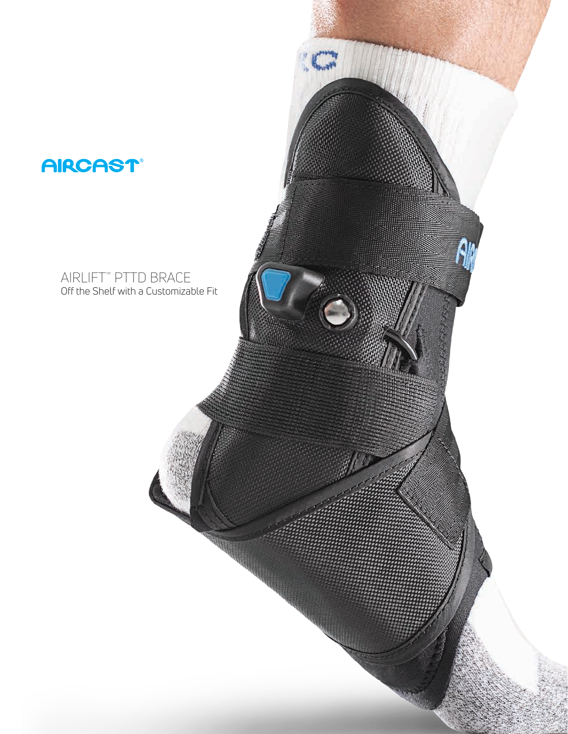